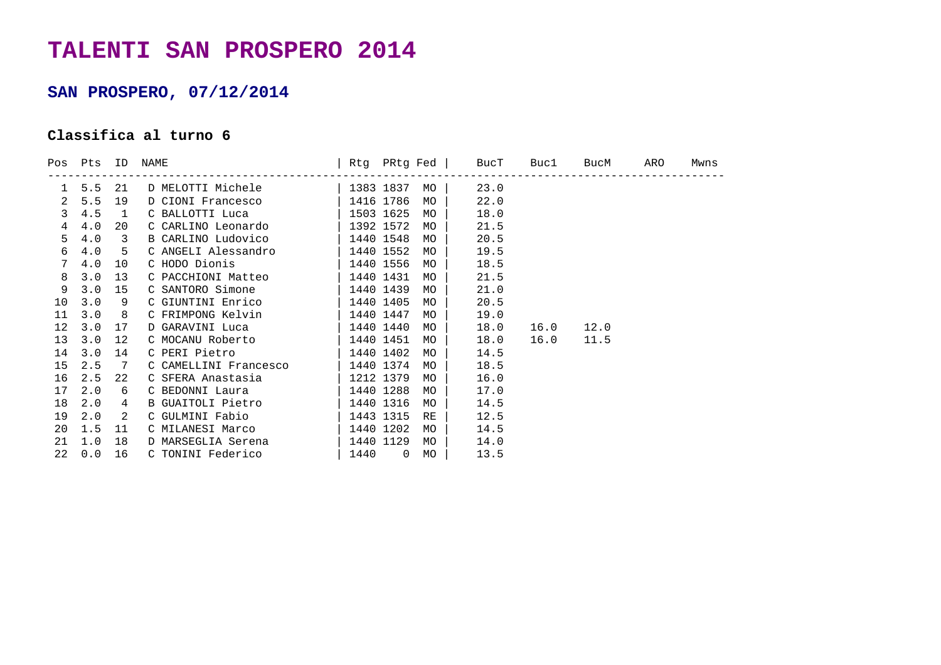## **TALENTI SAN PROSPERO 2014**

## **SAN PROSPERO, 07/12/2014**

## **Classifica al turno 6**

|                 | Pos Pts ID               |              | NAME                       |                   |           | Rtg PRtg Fed   BucT | Buc1 | BucM | ARO | Mwns |
|-----------------|--------------------------|--------------|----------------------------|-------------------|-----------|---------------------|------|------|-----|------|
|                 | -----------------<br>5.5 | 21           | D MELOTTI Michele          | 1383 1837         | MO        | 23.0                |      |      |     |      |
| 2               | 5.5                      | 19           | D CIONI Francesco          | 1416 1786         | MO        | 22.0                |      |      |     |      |
| 3               | 4.5                      | $\mathbf{1}$ | C BALLOTTI Luca            | 1503 1625         | MO        | 18.0                |      |      |     |      |
| 4               | 4.0                      | 20           | C CARLINO Leonardo         | 1392 1572         | MO        | 21.5                |      |      |     |      |
| 5               | 4.0                      | 3            | B CARLINO Ludovico         | 1440 1548         | MO        | 20.5                |      |      |     |      |
| 6               | 4.0                      | 5            | C ANGELI Alessandro        | $1440$ 1552       | MO        | 19.5                |      |      |     |      |
| 7               | 4.0                      | 10           | C HODO Dionis              | $\vert$ 1440 1556 | MO        | 18.5                |      |      |     |      |
| 8               | 3.0                      | 13           | C PACCHIONI Matteo         | 1440 1431         | <b>MO</b> | 21.5                |      |      |     |      |
| 9               | 3.0                      | 15           | C SANTORO Simone           | $1440$ 1439       | <b>MO</b> | 21.0                |      |      |     |      |
| 10 <sup>°</sup> | 3.0                      | 9            | C GIUNTINI Enrico          | $1440$ 1405       | <b>MO</b> | 20.5                |      |      |     |      |
| 11              | 3.0                      | 8            | C FRIMPONG Kelvin          | 1440 1447         | MO        | 19.0                |      |      |     |      |
| 12              | 3.0                      | 17           | D GARAVINI Luca            | 1440 1440         | MO        | 18.0                | 16.0 | 12.0 |     |      |
| 13              | 3.0                      | 12           | C MOCANU Roberto           | 1440 1451         | MO        | 18.0                | 16.0 | 11.5 |     |      |
| 14              | 3.0                      | 14           | C PERI Pietro              | 1440 1402         | <b>MO</b> | 14.5                |      |      |     |      |
| 15              | 2.5                      | -7           | C CAMELLINI Francesco      | 1440 1374         | MO        | 18.5                |      |      |     |      |
| 16              | 2.5                      | 22           | C SFERA Anastasia          | 1212 1379         | <b>MO</b> | 16.0                |      |      |     |      |
| 17              | 2.0                      | 6            | C BEDONNI Laura            | $1440$ 1288       | <b>MO</b> | 17.0                |      |      |     |      |
| 18              | 2.0                      | 4            | B GUAITOLI Pietro          | 1440 1316         | MO        | 14.5                |      |      |     |      |
| 19              | 2.0                      | 2            | C GULMINI Fabio            | $1443$ 1315       | RE        | 12.5                |      |      |     |      |
| 20              | 1.5                      | 11           | C MILANESI Marco           | $\vert$ 1440 1202 | MO        | 14.5                |      |      |     |      |
| 21              | 1.0                      | 18           | D MARSEGLIA Serena         | 1440 1129         | MO        | 14.0                |      |      |     |      |
| 22              | 0.0                      | 16           | C TONINI Federico   1440 0 |                   | MO        | 13.5                |      |      |     |      |